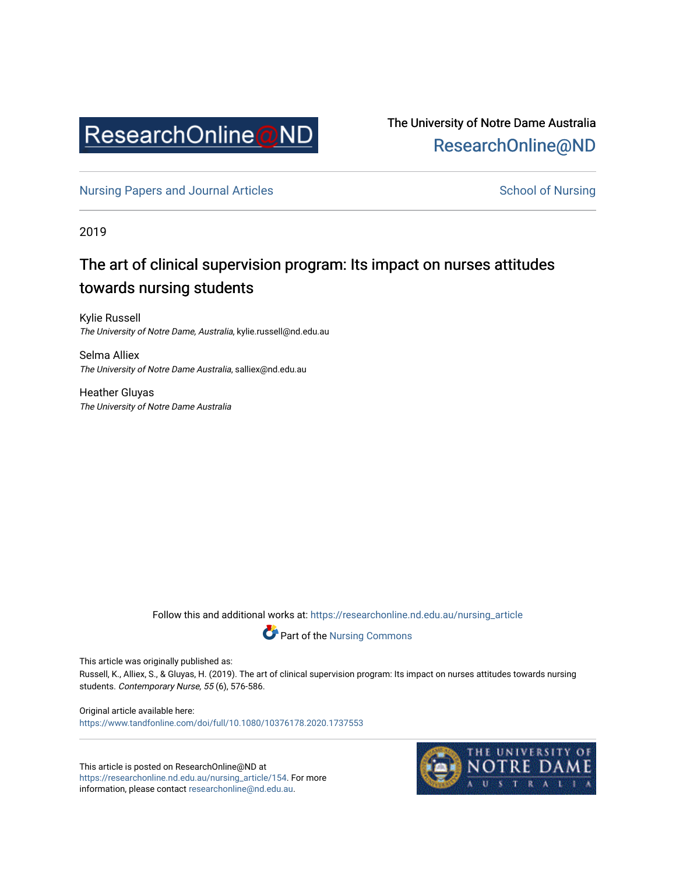

The University of Notre Dame Australia [ResearchOnline@ND](https://researchonline.nd.edu.au/) 

[Nursing Papers and Journal Articles](https://researchonline.nd.edu.au/nursing_article) **School of Nursing** School of Nursing

2019

# The art of clinical supervision program: Its impact on nurses attitudes towards nursing students

Kylie Russell The University of Notre Dame, Australia, kylie.russell@nd.edu.au

Selma Alliex The University of Notre Dame Australia, salliex@nd.edu.au

Heather Gluyas The University of Notre Dame Australia

Follow this and additional works at: [https://researchonline.nd.edu.au/nursing\\_article](https://researchonline.nd.edu.au/nursing_article?utm_source=researchonline.nd.edu.au%2Fnursing_article%2F154&utm_medium=PDF&utm_campaign=PDFCoverPages) 



This article was originally published as:

Russell, K., Alliex, S., & Gluyas, H. (2019). The art of clinical supervision program: Its impact on nurses attitudes towards nursing students. Contemporary Nurse, 55 (6), 576-586.

Original article available here: <https://www.tandfonline.com/doi/full/10.1080/10376178.2020.1737553>

This article is posted on ResearchOnline@ND at [https://researchonline.nd.edu.au/nursing\\_article/154.](https://researchonline.nd.edu.au/nursing_article/154) For more information, please contact [researchonline@nd.edu.au.](mailto:researchonline@nd.edu.au)

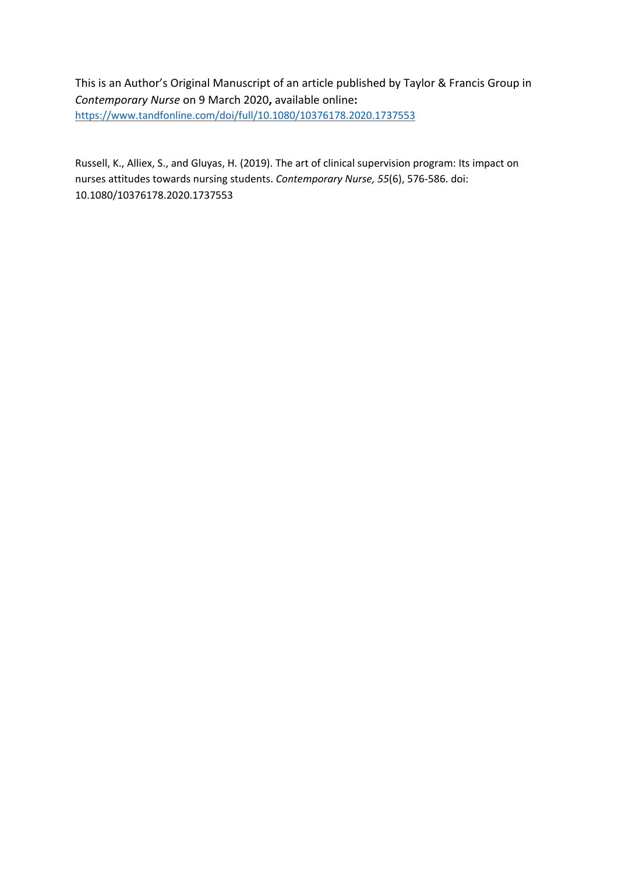This is an Author's Original Manuscript of an article published by Taylor & Francis Group in *Contemporary Nurse* on 9 March 2020**,** available online**:**  https://www.tandfonline.com/doi/full/10.1080/10376178.2020.1737553

Russell, K., Alliex, S., and Gluyas, H. (2019). The art of clinical supervision program: Its impact on nurses attitudes towards nursing students. *Contemporary Nurse, 55*(6), 576-586. doi: 10.1080/10376178.2020.1737553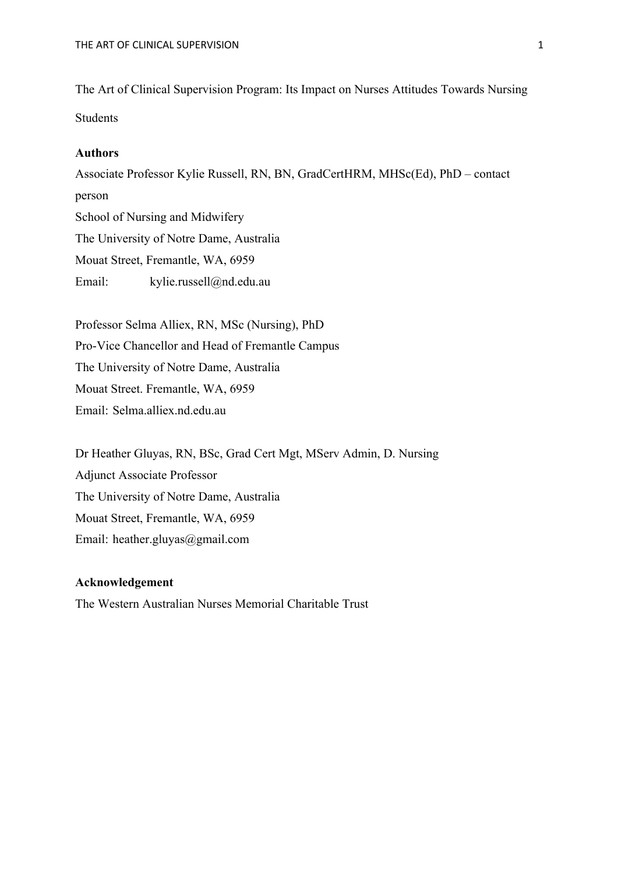The Art of Clinical Supervision Program: Its Impact on Nurses Attitudes Towards Nursing Students

## **Authors**

Associate Professor Kylie Russell, RN, BN, GradCertHRM, MHSc(Ed), PhD – contact person School of Nursing and Midwifery The University of Notre Dame, Australia Mouat Street, Fremantle, WA, 6959 Email: kylie.russell@nd.edu.au

Professor Selma Alliex, RN, MSc (Nursing), PhD Pro-Vice Chancellor and Head of Fremantle Campus The University of Notre Dame, Australia Mouat Street. Fremantle, WA, 6959 Email: Selma.alliex.nd.edu.au

Dr Heather Gluyas, RN, BSc, Grad Cert Mgt, MServ Admin, D. Nursing Adjunct Associate Professor The University of Notre Dame, Australia Mouat Street, Fremantle, WA, 6959 Email: heather.gluyas@gmail.com

# **Acknowledgement**

The Western Australian Nurses Memorial Charitable Trust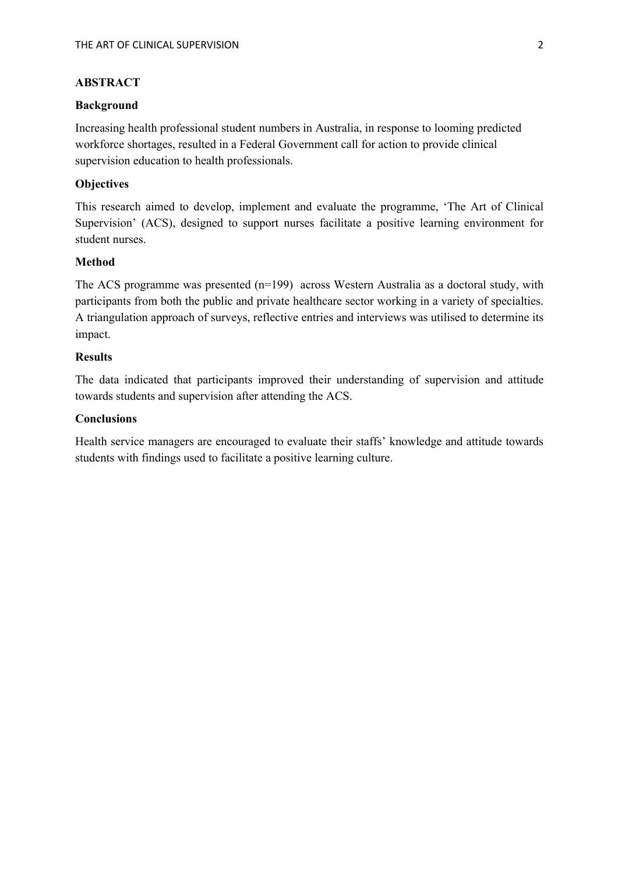# **ABSTRACT**

#### **Background**

Increasing health professional student numbers in Australia, in response to looming predicted workforce shortages, resulted in a Federal Government call for action to provide clinical supervision education to health professionals.

#### **Objectives**

This research aimed to develop, implement and evaluate the programme, 'The Art of Clinical Supervision' (ACS), designed to support nurses facilitate a positive learning environment for student nurses.

## **Method**

The ACS programme was presented (n=199) across Western Australia as a doctoral study, with participants from both the public and private healthcare sector working in a variety of specialties. A triangulation approach of surveys, reflective entries and interviews was utilised to determine its impact.

#### **Results**

The data indicated that participants improved their understanding of supervision and attitude towards students and supervision after attending the ACS.

## **Conclusions**

Health service managers are encouraged to evaluate their staffs' knowledge and attitude towards students with findings used to facilitate a positive learning culture.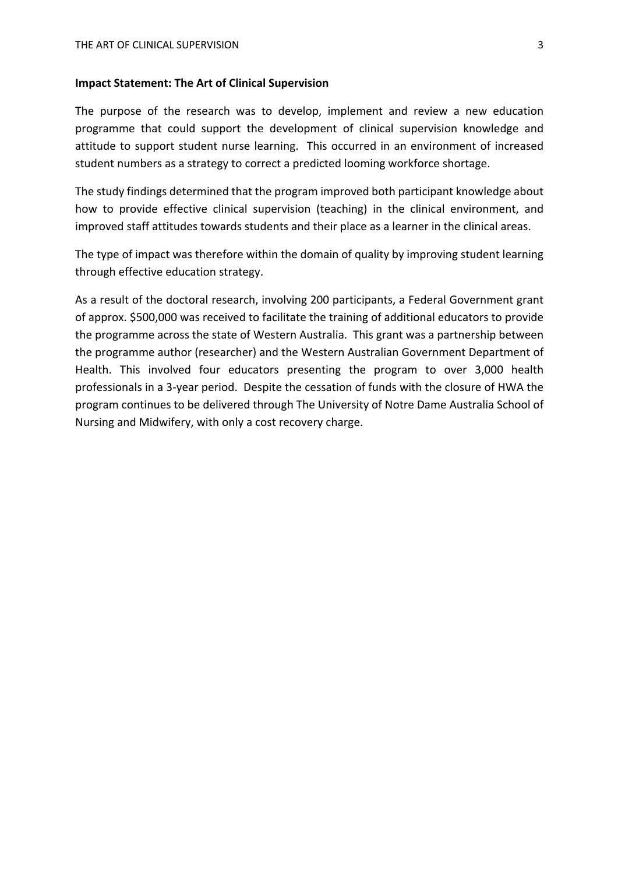#### **Impact Statement: The Art of Clinical Supervision**

The purpose of the research was to develop, implement and review a new education programme that could support the development of clinical supervision knowledge and attitude to support student nurse learning. This occurred in an environment of increased student numbers as a strategy to correct a predicted looming workforce shortage.

The study findings determined that the program improved both participant knowledge about how to provide effective clinical supervision (teaching) in the clinical environment, and improved staff attitudes towards students and their place as a learner in the clinical areas.

The type of impact was therefore within the domain of quality by improving student learning through effective education strategy.

As a result of the doctoral research, involving 200 participants, a Federal Government grant of approx. \$500,000 was received to facilitate the training of additional educators to provide the programme across the state of Western Australia. This grant was a partnership between the programme author (researcher) and the Western Australian Government Department of Health. This involved four educators presenting the program to over 3,000 health professionals in a 3-year period. Despite the cessation of funds with the closure of HWA the program continues to be delivered through The University of Notre Dame Australia School of Nursing and Midwifery, with only a cost recovery charge.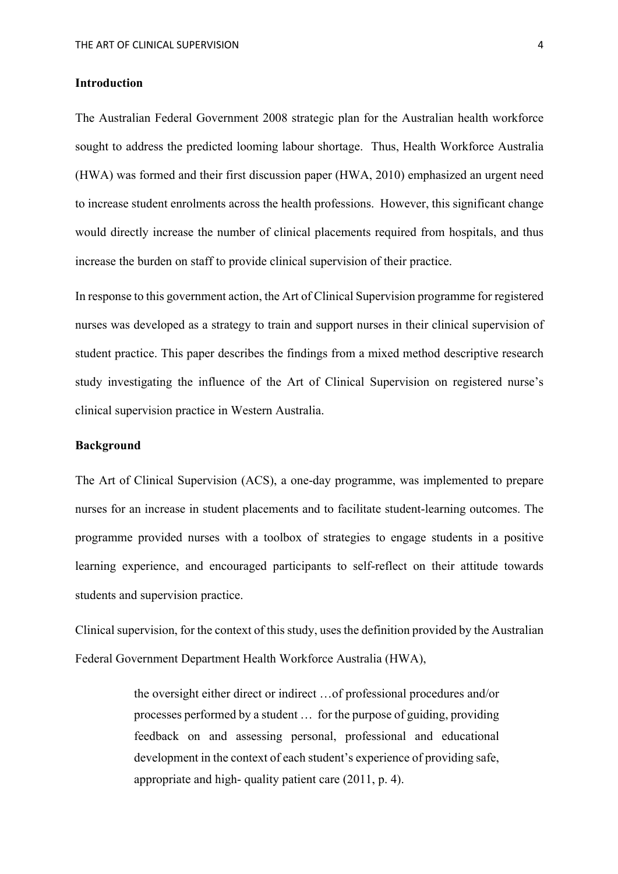# **Introduction**

The Australian Federal Government 2008 strategic plan for the Australian health workforce sought to address the predicted looming labour shortage. Thus, Health Workforce Australia (HWA) was formed and their first discussion paper (HWA, 2010) emphasized an urgent need to increase student enrolments across the health professions. However, this significant change would directly increase the number of clinical placements required from hospitals, and thus increase the burden on staff to provide clinical supervision of their practice.

In response to this government action, the Art of Clinical Supervision programme for registered nurses was developed as a strategy to train and support nurses in their clinical supervision of student practice. This paper describes the findings from a mixed method descriptive research study investigating the influence of the Art of Clinical Supervision on registered nurse's clinical supervision practice in Western Australia.

## **Background**

The Art of Clinical Supervision (ACS), a one-day programme, was implemented to prepare nurses for an increase in student placements and to facilitate student-learning outcomes. The programme provided nurses with a toolbox of strategies to engage students in a positive learning experience, and encouraged participants to self-reflect on their attitude towards students and supervision practice.

Clinical supervision, for the context of this study, uses the definition provided by the Australian Federal Government Department Health Workforce Australia (HWA),

> the oversight either direct or indirect …of professional procedures and/or processes performed by a student … for the purpose of guiding, providing feedback on and assessing personal, professional and educational development in the context of each student's experience of providing safe, appropriate and high- quality patient care (2011, p. 4).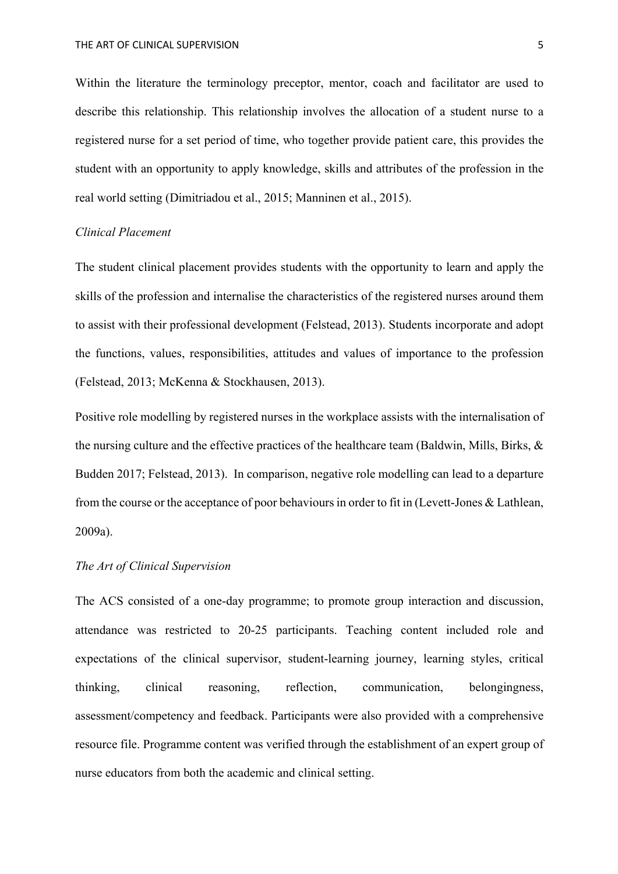Within the literature the terminology preceptor, mentor, coach and facilitator are used to describe this relationship. This relationship involves the allocation of a student nurse to a registered nurse for a set period of time, who together provide patient care, this provides the student with an opportunity to apply knowledge, skills and attributes of the profession in the real world setting (Dimitriadou et al., 2015; Manninen et al., 2015).

# *Clinical Placement*

The student clinical placement provides students with the opportunity to learn and apply the skills of the profession and internalise the characteristics of the registered nurses around them to assist with their professional development (Felstead, 2013). Students incorporate and adopt the functions, values, responsibilities, attitudes and values of importance to the profession (Felstead, 2013; McKenna & Stockhausen, 2013).

Positive role modelling by registered nurses in the workplace assists with the internalisation of the nursing culture and the effective practices of the healthcare team (Baldwin, Mills, Birks, & Budden 2017; Felstead, 2013). In comparison, negative role modelling can lead to a departure from the course or the acceptance of poor behaviours in order to fit in (Levett-Jones & Lathlean, 2009a).

# *The Art of Clinical Supervision*

The ACS consisted of a one-day programme; to promote group interaction and discussion, attendance was restricted to 20-25 participants. Teaching content included role and expectations of the clinical supervisor, student-learning journey, learning styles, critical thinking, clinical reasoning, reflection, communication, belongingness, assessment/competency and feedback. Participants were also provided with a comprehensive resource file. Programme content was verified through the establishment of an expert group of nurse educators from both the academic and clinical setting.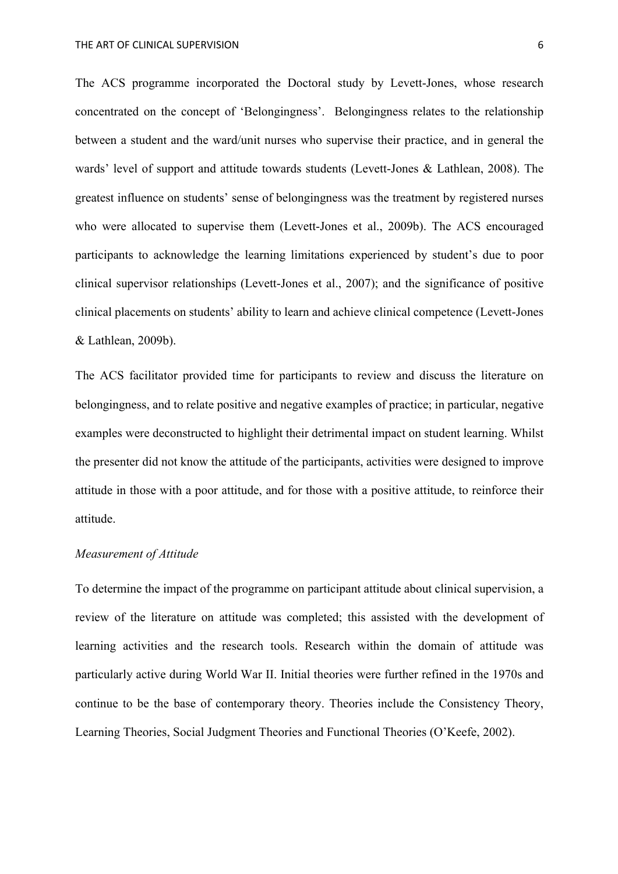The ACS programme incorporated the Doctoral study by Levett-Jones, whose research concentrated on the concept of 'Belongingness'. Belongingness relates to the relationship between a student and the ward/unit nurses who supervise their practice, and in general the wards' level of support and attitude towards students (Levett-Jones & Lathlean, 2008). The greatest influence on students' sense of belongingness was the treatment by registered nurses who were allocated to supervise them (Levett-Jones et al., 2009b). The ACS encouraged participants to acknowledge the learning limitations experienced by student's due to poor clinical supervisor relationships (Levett-Jones et al., 2007); and the significance of positive clinical placements on students' ability to learn and achieve clinical competence (Levett-Jones & Lathlean, 2009b).

The ACS facilitator provided time for participants to review and discuss the literature on belongingness, and to relate positive and negative examples of practice; in particular, negative examples were deconstructed to highlight their detrimental impact on student learning. Whilst the presenter did not know the attitude of the participants, activities were designed to improve attitude in those with a poor attitude, and for those with a positive attitude, to reinforce their attitude.

# *Measurement of Attitude*

To determine the impact of the programme on participant attitude about clinical supervision, a review of the literature on attitude was completed; this assisted with the development of learning activities and the research tools. Research within the domain of attitude was particularly active during World War II. Initial theories were further refined in the 1970s and continue to be the base of contemporary theory. Theories include the Consistency Theory, Learning Theories, Social Judgment Theories and Functional Theories (O'Keefe, 2002).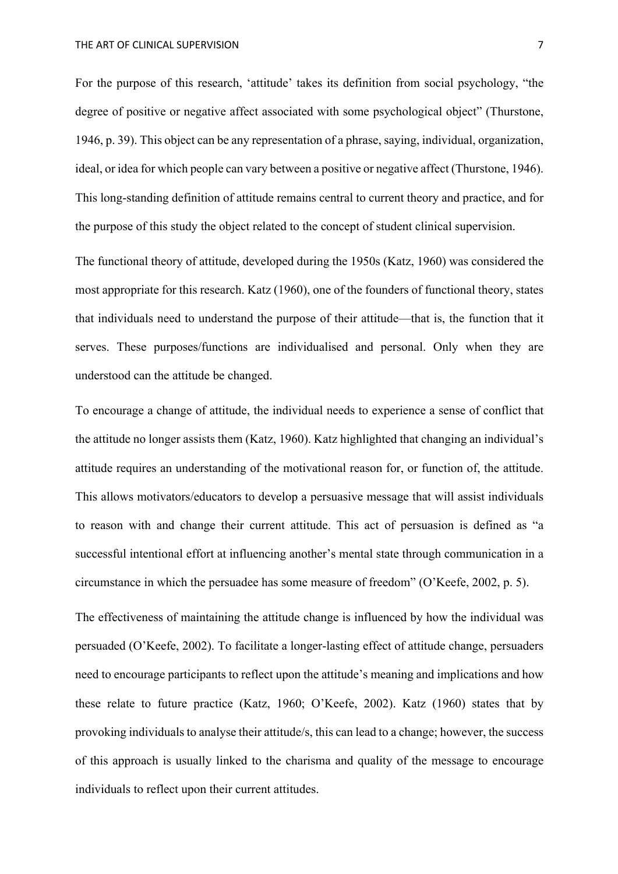For the purpose of this research, 'attitude' takes its definition from social psychology, "the degree of positive or negative affect associated with some psychological object" (Thurstone, 1946, p. 39). This object can be any representation of a phrase, saying, individual, organization, ideal, or idea for which people can vary between a positive or negative affect (Thurstone, 1946). This long-standing definition of attitude remains central to current theory and practice, and for the purpose of this study the object related to the concept of student clinical supervision.

The functional theory of attitude, developed during the 1950s (Katz, 1960) was considered the most appropriate for this research. Katz (1960), one of the founders of functional theory, states that individuals need to understand the purpose of their attitude—that is, the function that it serves. These purposes/functions are individualised and personal. Only when they are understood can the attitude be changed.

To encourage a change of attitude, the individual needs to experience a sense of conflict that the attitude no longer assists them (Katz, 1960). Katz highlighted that changing an individual's attitude requires an understanding of the motivational reason for, or function of, the attitude. This allows motivators/educators to develop a persuasive message that will assist individuals to reason with and change their current attitude. This act of persuasion is defined as "a successful intentional effort at influencing another's mental state through communication in a circumstance in which the persuadee has some measure of freedom" (O'Keefe, 2002, p. 5).

The effectiveness of maintaining the attitude change is influenced by how the individual was persuaded (O'Keefe, 2002). To facilitate a longer-lasting effect of attitude change, persuaders need to encourage participants to reflect upon the attitude's meaning and implications and how these relate to future practice (Katz, 1960; O'Keefe, 2002). Katz (1960) states that by provoking individuals to analyse their attitude/s, this can lead to a change; however, the success of this approach is usually linked to the charisma and quality of the message to encourage individuals to reflect upon their current attitudes.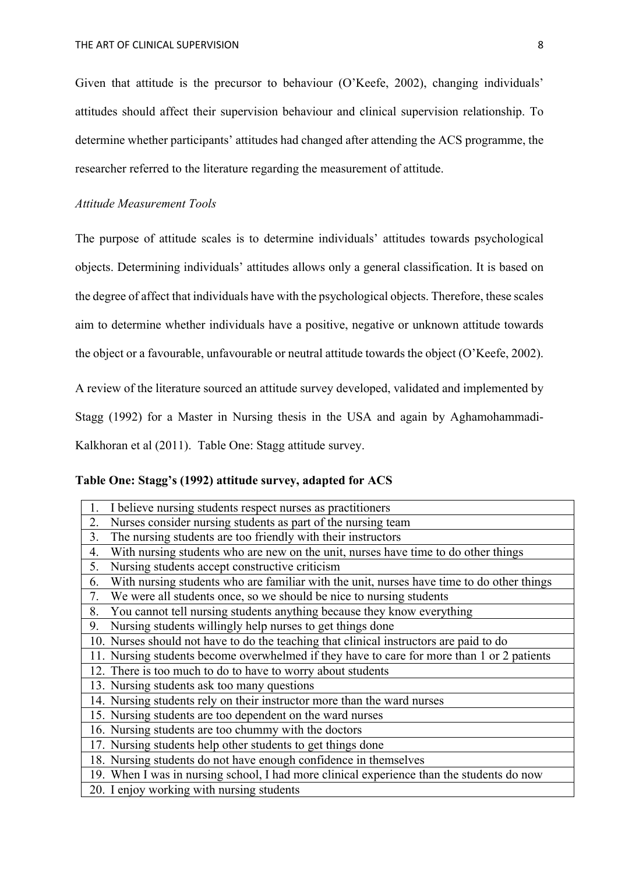Given that attitude is the precursor to behaviour (O'Keefe, 2002), changing individuals' attitudes should affect their supervision behaviour and clinical supervision relationship. To determine whether participants' attitudes had changed after attending the ACS programme, the researcher referred to the literature regarding the measurement of attitude.

# *Attitude Measurement Tools*

The purpose of attitude scales is to determine individuals' attitudes towards psychological objects. Determining individuals' attitudes allows only a general classification. It is based on the degree of affect that individuals have with the psychological objects. Therefore, these scales aim to determine whether individuals have a positive, negative or unknown attitude towards the object or a favourable, unfavourable or neutral attitude towards the object (O'Keefe, 2002).

A review of the literature sourced an attitude survey developed, validated and implemented by Stagg (1992) for a Master in Nursing thesis in the USA and again by Aghamohammadi-

Kalkhoran et al (2011). Table One: Stagg attitude survey.

# **Table One: Stagg's (1992) attitude survey, adapted for ACS**

| 1.<br>I believe nursing students respect nurses as practitioners                                |
|-------------------------------------------------------------------------------------------------|
| Nurses consider nursing students as part of the nursing team<br>2.                              |
| The nursing students are too friendly with their instructors<br>3.                              |
| With nursing students who are new on the unit, nurses have time to do other things<br>4.        |
| 5.<br>Nursing students accept constructive criticism                                            |
| 6.<br>With nursing students who are familiar with the unit, nurses have time to do other things |
| We were all students once, so we should be nice to nursing students<br>7.                       |
| 8.<br>You cannot tell nursing students anything because they know everything                    |
| 9.<br>Nursing students willingly help nurses to get things done                                 |
| 10. Nurses should not have to do the teaching that clinical instructors are paid to do          |
| 11. Nursing students become overwhelmed if they have to care for more than 1 or 2 patients      |
| 12. There is too much to do to have to worry about students                                     |
| 13. Nursing students ask too many questions                                                     |
| 14. Nursing students rely on their instructor more than the ward nurses                         |
| 15. Nursing students are too dependent on the ward nurses                                       |
| 16. Nursing students are too chummy with the doctors                                            |
| 17. Nursing students help other students to get things done                                     |
| 18. Nursing students do not have enough confidence in themselves                                |
| 19. When I was in nursing school, I had more clinical experience than the students do now       |
| 20. I enjoy working with nursing students                                                       |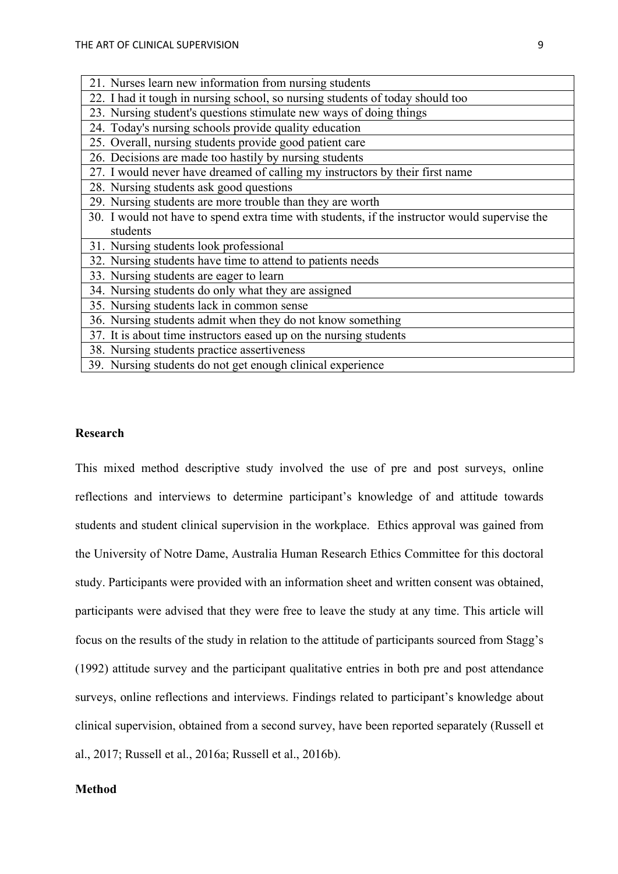| 23. Nursing student's questions stimulate new ways of doing things                            |
|-----------------------------------------------------------------------------------------------|
| 24. Today's nursing schools provide quality education                                         |
| 25. Overall, nursing students provide good patient care                                       |
| 26. Decisions are made too hastily by nursing students                                        |
| 27. I would never have dreamed of calling my instructors by their first name                  |
| 28. Nursing students ask good questions                                                       |
| 29. Nursing students are more trouble than they are worth                                     |
| 30. I would not have to spend extra time with students, if the instructor would supervise the |
| students                                                                                      |
| 31. Nursing students look professional                                                        |
| 32. Nursing students have time to attend to patients needs                                    |
| 33. Nursing students are eager to learn                                                       |
| 34. Nursing students do only what they are assigned                                           |
| 35. Nursing students lack in common sense                                                     |
| 36. Nursing students admit when they do not know something                                    |
| 37. It is about time instructors eased up on the nursing students                             |
| 38. Nursing students practice assertiveness                                                   |

39. Nursing students do not get enough clinical experience

21. Nurses learn new information from nursing students

22. I had it tough in nursing school, so nursing students of today should too

#### **Research**

This mixed method descriptive study involved the use of pre and post surveys, online reflections and interviews to determine participant's knowledge of and attitude towards students and student clinical supervision in the workplace. Ethics approval was gained from the University of Notre Dame, Australia Human Research Ethics Committee for this doctoral study. Participants were provided with an information sheet and written consent was obtained, participants were advised that they were free to leave the study at any time. This article will focus on the results of the study in relation to the attitude of participants sourced from Stagg's (1992) attitude survey and the participant qualitative entries in both pre and post attendance surveys, online reflections and interviews. Findings related to participant's knowledge about clinical supervision, obtained from a second survey, have been reported separately (Russell et al., 2017; Russell et al., 2016a; Russell et al., 2016b).

# **Method**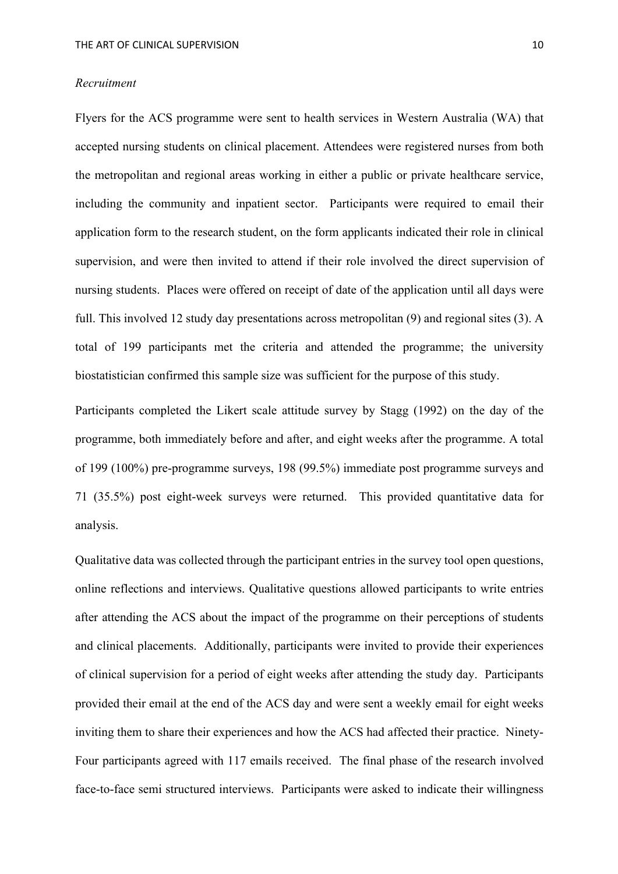#### *Recruitment*

Flyers for the ACS programme were sent to health services in Western Australia (WA) that accepted nursing students on clinical placement. Attendees were registered nurses from both the metropolitan and regional areas working in either a public or private healthcare service, including the community and inpatient sector. Participants were required to email their application form to the research student, on the form applicants indicated their role in clinical supervision, and were then invited to attend if their role involved the direct supervision of nursing students. Places were offered on receipt of date of the application until all days were full. This involved 12 study day presentations across metropolitan (9) and regional sites (3). A total of 199 participants met the criteria and attended the programme; the university biostatistician confirmed this sample size was sufficient for the purpose of this study.

Participants completed the Likert scale attitude survey by Stagg (1992) on the day of the programme, both immediately before and after, and eight weeks after the programme. A total of 199 (100%) pre-programme surveys, 198 (99.5%) immediate post programme surveys and 71 (35.5%) post eight-week surveys were returned. This provided quantitative data for analysis.

Qualitative data was collected through the participant entries in the survey tool open questions, online reflections and interviews. Qualitative questions allowed participants to write entries after attending the ACS about the impact of the programme on their perceptions of students and clinical placements. Additionally, participants were invited to provide their experiences of clinical supervision for a period of eight weeks after attending the study day. Participants provided their email at the end of the ACS day and were sent a weekly email for eight weeks inviting them to share their experiences and how the ACS had affected their practice. Ninety-Four participants agreed with 117 emails received. The final phase of the research involved face-to-face semi structured interviews. Participants were asked to indicate their willingness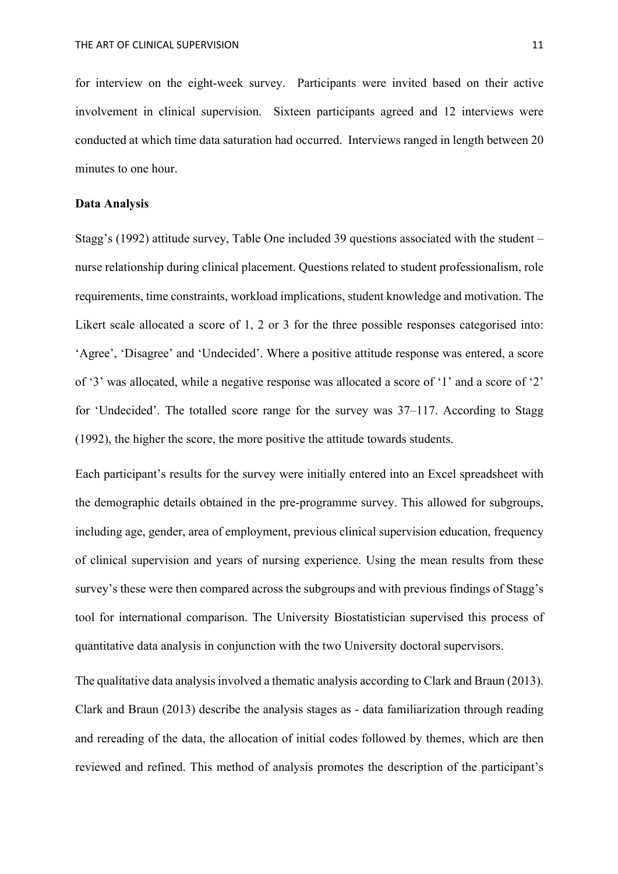for interview on the eight-week survey. Participants were invited based on their active involvement in clinical supervision. Sixteen participants agreed and 12 interviews were conducted at which time data saturation had occurred. Interviews ranged in length between 20 minutes to one hour.

#### **Data Analysis**

Stagg's (1992) attitude survey, Table One included 39 questions associated with the student – nurse relationship during clinical placement. Questions related to student professionalism, role requirements, time constraints, workload implications, student knowledge and motivation. The Likert scale allocated a score of 1, 2 or 3 for the three possible responses categorised into: 'Agree', 'Disagree' and 'Undecided'. Where a positive attitude response was entered, a score of '3' was allocated, while a negative response was allocated a score of '1' and a score of '2' for 'Undecided'. The totalled score range for the survey was 37–117. According to Stagg (1992), the higher the score, the more positive the attitude towards students.

Each participant's results for the survey were initially entered into an Excel spreadsheet with the demographic details obtained in the pre-programme survey. This allowed for subgroups, including age, gender, area of employment, previous clinical supervision education, frequency of clinical supervision and years of nursing experience. Using the mean results from these survey's these were then compared across the subgroups and with previous findings of Stagg's tool for international comparison. The University Biostatistician supervised this process of quantitative data analysis in conjunction with the two University doctoral supervisors.

The qualitative data analysis involved a thematic analysis according to Clark and Braun (2013). Clark and Braun (2013) describe the analysis stages as - data familiarization through reading and rereading of the data, the allocation of initial codes followed by themes, which are then reviewed and refined. This method of analysis promotes the description of the participant's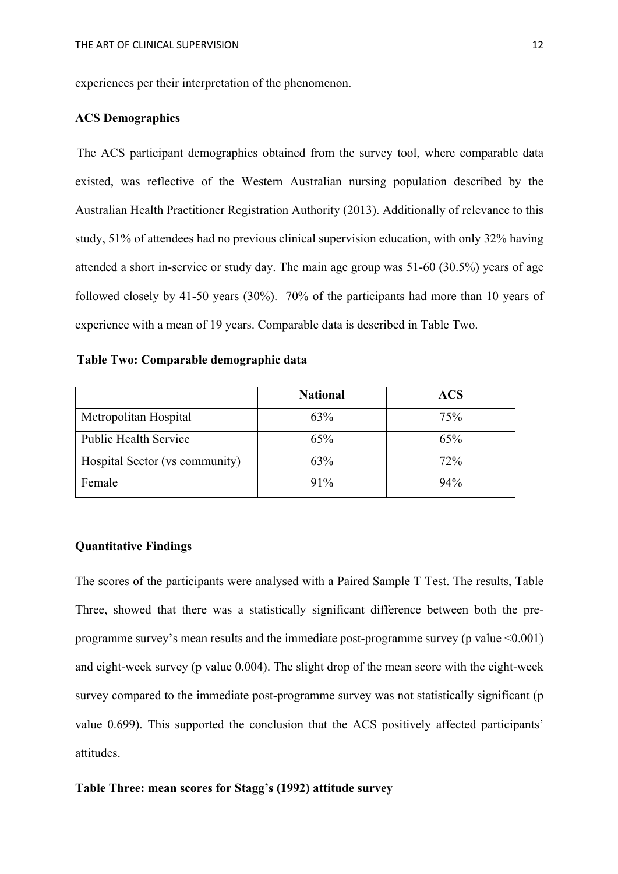experiences per their interpretation of the phenomenon.

# **ACS Demographics**

The ACS participant demographics obtained from the survey tool, where comparable data existed, was reflective of the Western Australian nursing population described by the Australian Health Practitioner Registration Authority (2013). Additionally of relevance to this study, 51% of attendees had no previous clinical supervision education, with only 32% having attended a short in-service or study day. The main age group was 51-60 (30.5%) years of age followed closely by 41-50 years (30%). 70% of the participants had more than 10 years of experience with a mean of 19 years. Comparable data is described in Table Two.

# **Table Two: Comparable demographic data**

|                                | <b>National</b> | <b>ACS</b> |
|--------------------------------|-----------------|------------|
| Metropolitan Hospital          | 63%             | 75%        |
| <b>Public Health Service</b>   | 65%             | 65%        |
| Hospital Sector (vs community) | 63%             | 72%        |
| Female                         | $91\%$          | 94%        |

# **Quantitative Findings**

The scores of the participants were analysed with a Paired Sample T Test. The results, Table Three, showed that there was a statistically significant difference between both the preprogramme survey's mean results and the immediate post-programme survey (p value <0.001) and eight-week survey (p value 0.004). The slight drop of the mean score with the eight-week survey compared to the immediate post-programme survey was not statistically significant (p value 0.699). This supported the conclusion that the ACS positively affected participants' attitudes.

### **Table Three: mean scores for Stagg's (1992) attitude survey**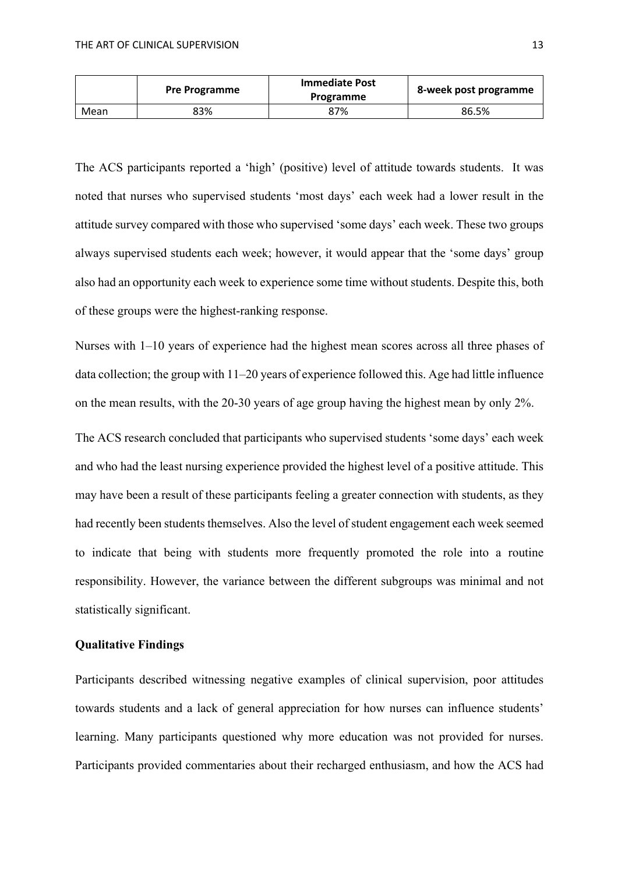|      | <b>Pre Programme</b> | <b>Immediate Post</b><br>Programme | 8-week post programme |
|------|----------------------|------------------------------------|-----------------------|
| Mean | 83%                  | 87%                                | 86.5%                 |

The ACS participants reported a 'high' (positive) level of attitude towards students. It was noted that nurses who supervised students 'most days' each week had a lower result in the attitude survey compared with those who supervised 'some days' each week. These two groups always supervised students each week; however, it would appear that the 'some days' group also had an opportunity each week to experience some time without students. Despite this, both of these groups were the highest-ranking response.

Nurses with 1–10 years of experience had the highest mean scores across all three phases of data collection; the group with 11–20 years of experience followed this. Age had little influence on the mean results, with the 20-30 years of age group having the highest mean by only 2%.

The ACS research concluded that participants who supervised students 'some days' each week and who had the least nursing experience provided the highest level of a positive attitude. This may have been a result of these participants feeling a greater connection with students, as they had recently been students themselves. Also the level of student engagement each week seemed to indicate that being with students more frequently promoted the role into a routine responsibility. However, the variance between the different subgroups was minimal and not statistically significant.

# **Qualitative Findings**

Participants described witnessing negative examples of clinical supervision, poor attitudes towards students and a lack of general appreciation for how nurses can influence students' learning. Many participants questioned why more education was not provided for nurses. Participants provided commentaries about their recharged enthusiasm, and how the ACS had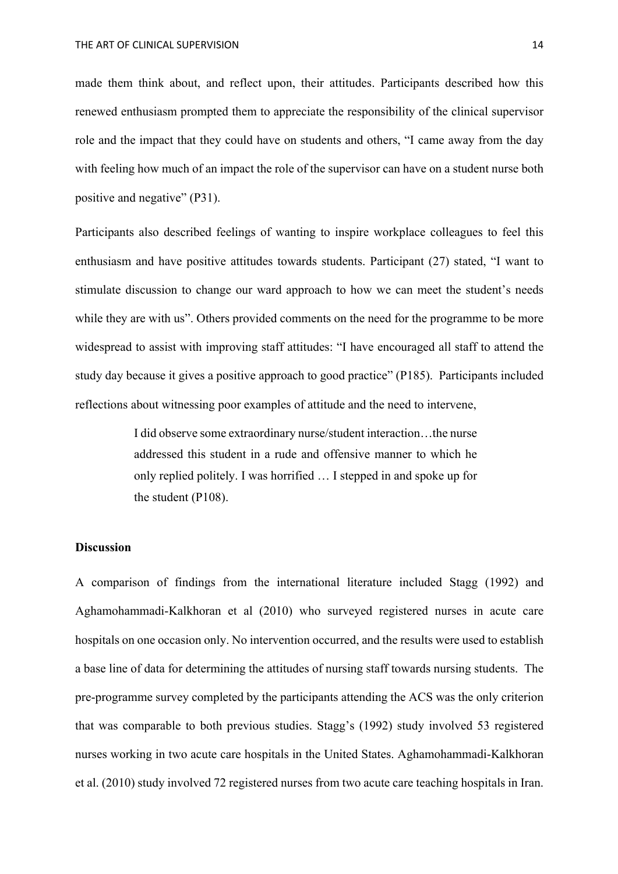made them think about, and reflect upon, their attitudes. Participants described how this renewed enthusiasm prompted them to appreciate the responsibility of the clinical supervisor role and the impact that they could have on students and others, "I came away from the day with feeling how much of an impact the role of the supervisor can have on a student nurse both positive and negative" (P31).

Participants also described feelings of wanting to inspire workplace colleagues to feel this enthusiasm and have positive attitudes towards students. Participant (27) stated, "I want to stimulate discussion to change our ward approach to how we can meet the student's needs while they are with us". Others provided comments on the need for the programme to be more widespread to assist with improving staff attitudes: "I have encouraged all staff to attend the study day because it gives a positive approach to good practice" (P185). Participants included reflections about witnessing poor examples of attitude and the need to intervene,

> I did observe some extraordinary nurse/student interaction…the nurse addressed this student in a rude and offensive manner to which he only replied politely. I was horrified … I stepped in and spoke up for the student (P108).

## **Discussion**

A comparison of findings from the international literature included Stagg (1992) and Aghamohammadi-Kalkhoran et al (2010) who surveyed registered nurses in acute care hospitals on one occasion only. No intervention occurred, and the results were used to establish a base line of data for determining the attitudes of nursing staff towards nursing students. The pre-programme survey completed by the participants attending the ACS was the only criterion that was comparable to both previous studies. Stagg's (1992) study involved 53 registered nurses working in two acute care hospitals in the United States. Aghamohammadi-Kalkhoran et al. (2010) study involved 72 registered nurses from two acute care teaching hospitals in Iran.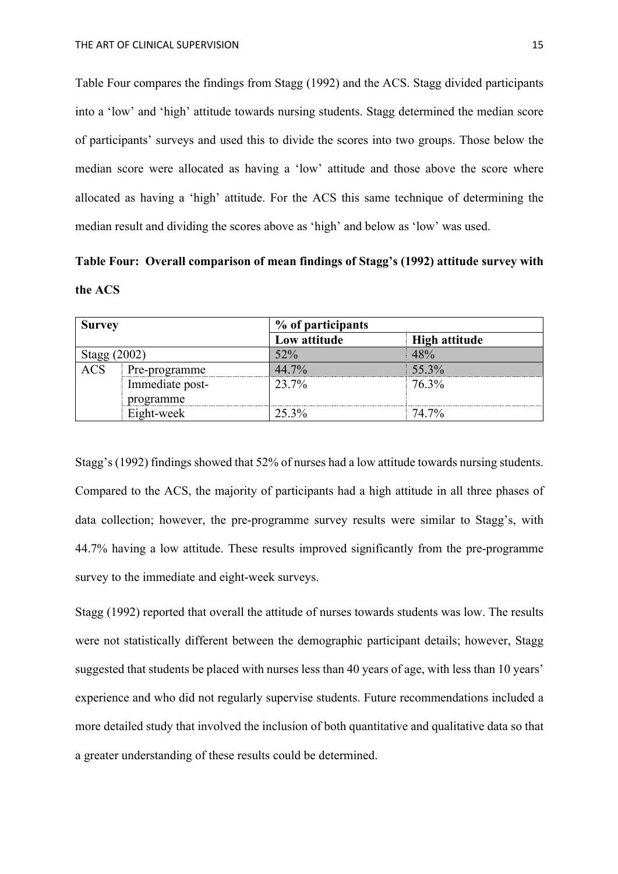Table Four compares the findings from Stagg (1992) and the ACS. Stagg divided participants into a 'low' and 'high' attitude towards nursing students. Stagg determined the median score of participants' surveys and used this to divide the scores into two groups. Those below the median score were allocated as having a 'low' attitude and those above the score where allocated as having a 'high' attitude. For the ACS this same technique of determining the median result and dividing the scores above as 'high' and below as 'low' was used.

**Table Four: Overall comparison of mean findings of Stagg's (1992) attitude survey with the ACS**

| <b>Survey</b> |                 | % of participants |                      |
|---------------|-----------------|-------------------|----------------------|
|               |                 | Low attitude      | <b>High attitude</b> |
| Stagg (2002)  |                 | 52%               | 48%                  |
| <b>ACS</b>    | Pre-programme   | 44.7%             | 55.3%                |
|               | Immediate post- | 23.7%             | 76.3%                |
|               | programme       |                   |                      |
|               | Eight-week      | 25.3%             | 74.7%                |

Stagg's (1992) findings showed that 52% of nurses had a low attitude towards nursing students. Compared to the ACS, the majority of participants had a high attitude in all three phases of data collection; however, the pre-programme survey results were similar to Stagg's, with 44.7% having a low attitude. These results improved significantly from the pre-programme survey to the immediate and eight-week surveys.

Stagg (1992) reported that overall the attitude of nurses towards students was low. The results were not statistically different between the demographic participant details; however, Stagg suggested that students be placed with nurses less than 40 years of age, with less than 10 years' experience and who did not regularly supervise students. Future recommendations included a more detailed study that involved the inclusion of both quantitative and qualitative data so that a greater understanding of these results could be determined.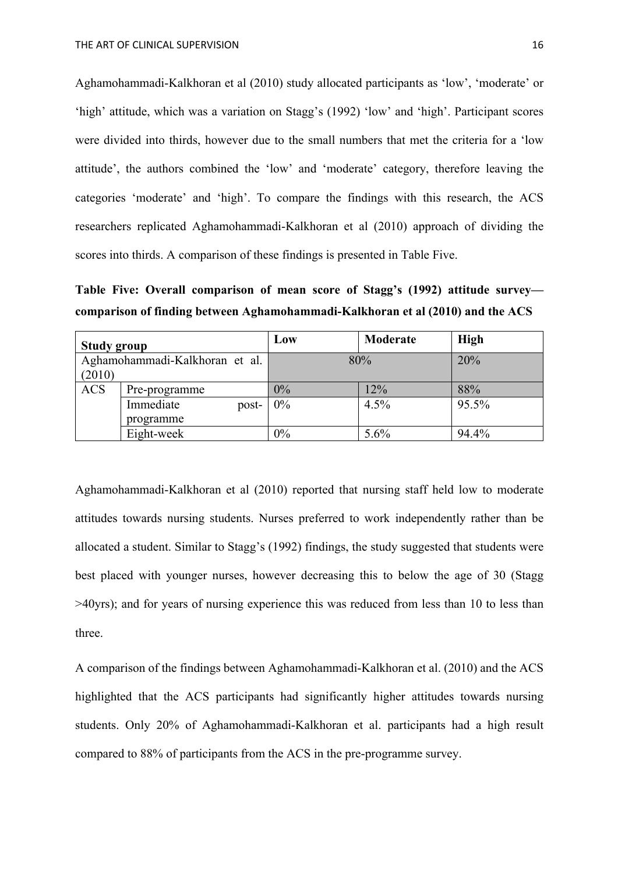Aghamohammadi-Kalkhoran et al (2010) study allocated participants as 'low', 'moderate' or 'high' attitude, which was a variation on Stagg's (1992) 'low' and 'high'. Participant scores were divided into thirds, however due to the small numbers that met the criteria for a 'low attitude', the authors combined the 'low' and 'moderate' category, therefore leaving the categories 'moderate' and 'high'. To compare the findings with this research, the ACS researchers replicated Aghamohammadi-Kalkhoran et al (2010) approach of dividing the scores into thirds. A comparison of these findings is presented in Table Five.

**Table Five: Overall comparison of mean score of Stagg's (1992) attitude survey comparison of finding between Aghamohammadi-Kalkhoran et al (2010) and the ACS**

| <b>Study group</b> |                                | Low   | Moderate | <b>High</b> |
|--------------------|--------------------------------|-------|----------|-------------|
|                    | Aghamohammadi-Kalkhoran et al. | 80%   |          | 20%         |
| (2010)             |                                |       |          |             |
| <b>ACS</b>         | Pre-programme                  | $0\%$ | 12%      | 88%         |
|                    | Immediate<br>post-             | 0%    | 4.5%     | 95.5%       |
|                    | programme                      |       |          |             |
|                    | Eight-week                     | 0%    | 5.6%     | 94.4%       |

Aghamohammadi-Kalkhoran et al (2010) reported that nursing staff held low to moderate attitudes towards nursing students. Nurses preferred to work independently rather than be allocated a student. Similar to Stagg's (1992) findings, the study suggested that students were best placed with younger nurses, however decreasing this to below the age of 30 (Stagg >40yrs); and for years of nursing experience this was reduced from less than 10 to less than three.

A comparison of the findings between Aghamohammadi-Kalkhoran et al. (2010) and the ACS highlighted that the ACS participants had significantly higher attitudes towards nursing students. Only 20% of Aghamohammadi-Kalkhoran et al. participants had a high result compared to 88% of participants from the ACS in the pre-programme survey.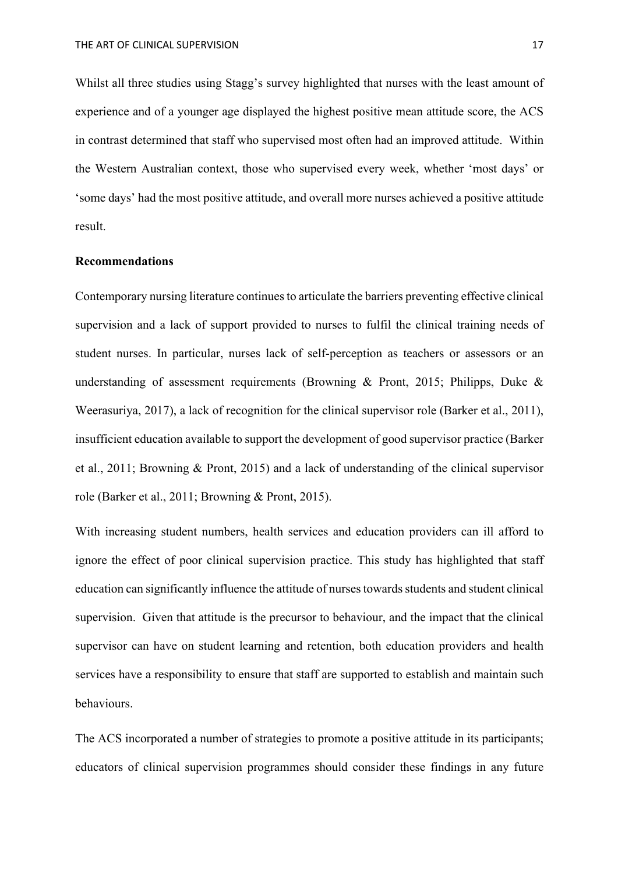Whilst all three studies using Stagg's survey highlighted that nurses with the least amount of experience and of a younger age displayed the highest positive mean attitude score, the ACS in contrast determined that staff who supervised most often had an improved attitude. Within the Western Australian context, those who supervised every week, whether 'most days' or 'some days' had the most positive attitude, and overall more nurses achieved a positive attitude result.

# **Recommendations**

Contemporary nursing literature continues to articulate the barriers preventing effective clinical supervision and a lack of support provided to nurses to fulfil the clinical training needs of student nurses. In particular, nurses lack of self-perception as teachers or assessors or an understanding of assessment requirements (Browning & Pront, 2015; Philipps, Duke & Weerasuriya, 2017), a lack of recognition for the clinical supervisor role (Barker et al., 2011), insufficient education available to support the development of good supervisor practice (Barker et al., 2011; Browning & Pront, 2015) and a lack of understanding of the clinical supervisor role (Barker et al., 2011; Browning & Pront, 2015).

With increasing student numbers, health services and education providers can ill afford to ignore the effect of poor clinical supervision practice. This study has highlighted that staff education can significantly influence the attitude of nurses towards students and student clinical supervision. Given that attitude is the precursor to behaviour, and the impact that the clinical supervisor can have on student learning and retention, both education providers and health services have a responsibility to ensure that staff are supported to establish and maintain such behaviours.

The ACS incorporated a number of strategies to promote a positive attitude in its participants; educators of clinical supervision programmes should consider these findings in any future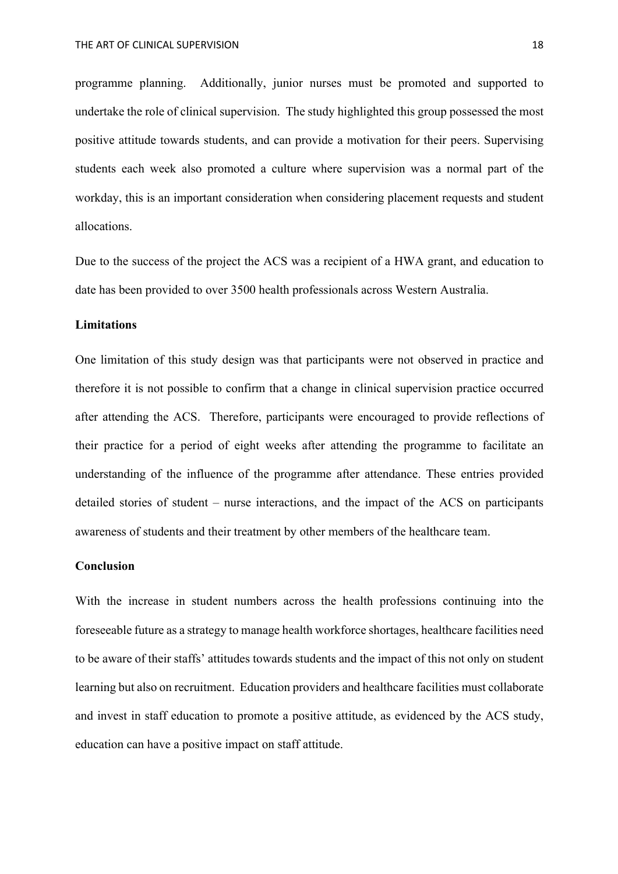programme planning. Additionally, junior nurses must be promoted and supported to undertake the role of clinical supervision. The study highlighted this group possessed the most positive attitude towards students, and can provide a motivation for their peers. Supervising students each week also promoted a culture where supervision was a normal part of the workday, this is an important consideration when considering placement requests and student allocations.

Due to the success of the project the ACS was a recipient of a HWA grant, and education to date has been provided to over 3500 health professionals across Western Australia.

# **Limitations**

One limitation of this study design was that participants were not observed in practice and therefore it is not possible to confirm that a change in clinical supervision practice occurred after attending the ACS. Therefore, participants were encouraged to provide reflections of their practice for a period of eight weeks after attending the programme to facilitate an understanding of the influence of the programme after attendance. These entries provided detailed stories of student – nurse interactions, and the impact of the ACS on participants awareness of students and their treatment by other members of the healthcare team.

# **Conclusion**

With the increase in student numbers across the health professions continuing into the foreseeable future as a strategy to manage health workforce shortages, healthcare facilities need to be aware of their staffs' attitudes towards students and the impact of this not only on student learning but also on recruitment. Education providers and healthcare facilities must collaborate and invest in staff education to promote a positive attitude, as evidenced by the ACS study, education can have a positive impact on staff attitude.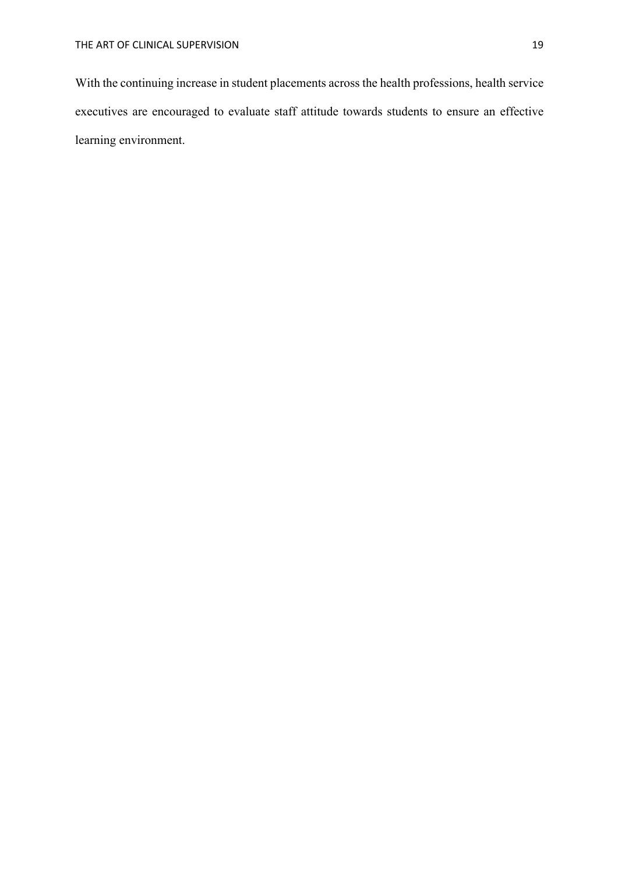With the continuing increase in student placements across the health professions, health service executives are encouraged to evaluate staff attitude towards students to ensure an effective learning environment.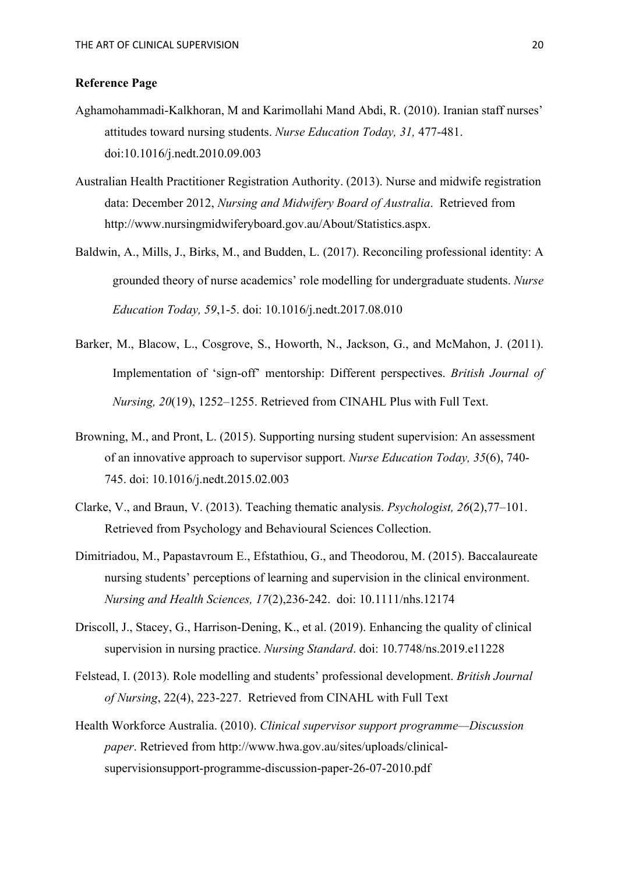# **Reference Page**

- Aghamohammadi-Kalkhoran, M and Karimollahi Mand Abdi, R. (2010). Iranian staff nurses' attitudes toward nursing students. *Nurse Education Today, 31,* 477-481. doi:10.1016/j.nedt.2010.09.003
- Australian Health Practitioner Registration Authority. (2013). Nurse and midwife registration data: December 2012, *Nursing and Midwifery Board of Australia*. Retrieved from http://www.nursingmidwiferyboard.gov.au/About/Statistics.aspx.
- Baldwin, A., Mills, J., Birks, M., and Budden, L. (2017). Reconciling professional identity: A grounded theory of nurse academics' role modelling for undergraduate students. *Nurse Education Today, 59*,1-5. doi: 10.1016/j.nedt.2017.08.010
- Barker, M., Blacow, L., Cosgrove, S., Howorth, N., Jackson, G., and McMahon, J. (2011). Implementation of 'sign-off' mentorship: Different perspectives. *British Journal of Nursing, 20*(19), 1252–1255. Retrieved from CINAHL Plus with Full Text.
- Browning, M., and Pront, L. (2015). Supporting nursing student supervision: An assessment of an innovative approach to supervisor support. *Nurse Education Today, 35*(6), 740- 745. doi: 10.1016/j.nedt.2015.02.003
- Clarke, V., and Braun, V. (2013). Teaching thematic analysis. *Psychologist, 26*(2),77–101. Retrieved from Psychology and Behavioural Sciences Collection.
- Dimitriadou, M., Papastavroum E., Efstathiou, G., and Theodorou, M. (2015). Baccalaureate nursing students' perceptions of learning and supervision in the clinical environment. *Nursing and Health Sciences, 17*(2),236-242. doi: 10.1111/nhs.12174
- Driscoll, J., Stacey, G., Harrison-Dening, K., et al. (2019). Enhancing the quality of clinical supervision in nursing practice. *Nursing Standard*. doi: 10.7748/ns.2019.e11228
- Felstead, I. (2013). Role modelling and students' professional development. *British Journal of Nursing*, 22(4), 223-227. Retrieved from CINAHL with Full Text
- Health Workforce Australia. (2010). *Clinical supervisor support programme—Discussion paper*. Retrieved from http://www.hwa.gov.au/sites/uploads/clinicalsupervisionsupport-programme-discussion-paper-26-07-2010.pdf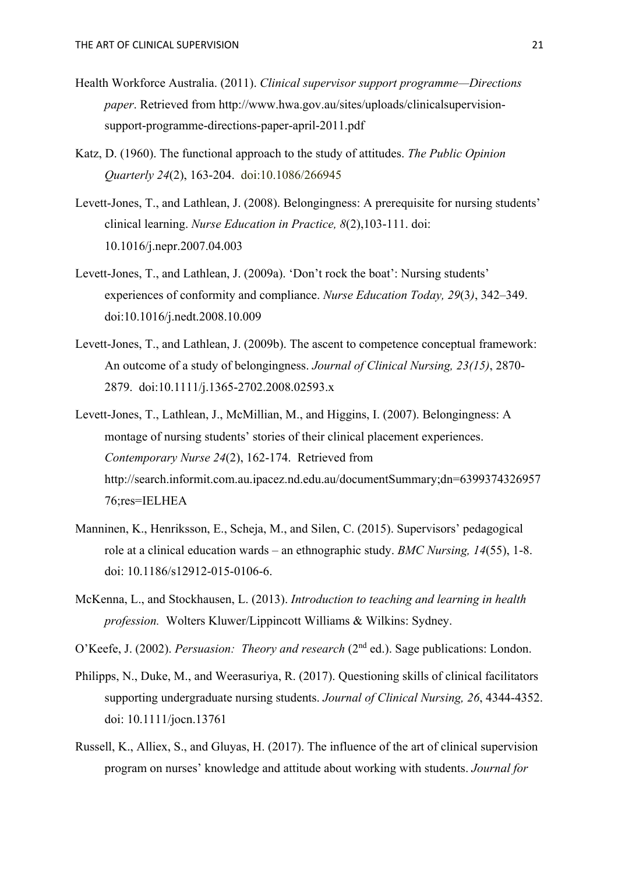- Health Workforce Australia. (2011). *Clinical supervisor support programme—Directions paper*. Retrieved from http://www.hwa.gov.au/sites/uploads/clinicalsupervisionsupport-programme-directions-paper-april-2011.pdf
- Katz, D. (1960). The functional approach to the study of attitudes. *The Public Opinion Quarterly 24*(2), 163-204. doi:10.1086/266945
- Levett-Jones, T., and Lathlean, J. (2008). Belongingness: A prerequisite for nursing students' clinical learning. *Nurse Education in Practice, 8*(2),103-111. doi: 10.1016/j.nepr.2007.04.003
- Levett-Jones, T., and Lathlean, J. (2009a). 'Don't rock the boat': Nursing students' experiences of conformity and compliance. *Nurse Education Today, 29*(3*)*, 342–349. doi:10.1016/j.nedt.2008.10.009
- Levett-Jones, T., and Lathlean, J. (2009b). The ascent to competence conceptual framework: An outcome of a study of belongingness. *Journal of Clinical Nursing, 23(15)*, 2870- 2879. doi:10.1111/j.1365-2702.2008.02593.x
- Levett-Jones, T., Lathlean, J., McMillian, M., and Higgins, I. (2007). Belongingness: A montage of nursing students' stories of their clinical placement experiences. *Contemporary Nurse 24*(2), 162-174. Retrieved from http://search.informit.com.au.ipacez.nd.edu.au/documentSummary;dn=6399374326957 76;res=IELHEA
- Manninen, K., Henriksson, E., Scheja, M., and Silen, C. (2015). Supervisors' pedagogical role at a clinical education wards – an ethnographic study. *BMC Nursing, 14*(55), 1-8. doi: 10.1186/s12912-015-0106-6.
- McKenna, L., and Stockhausen, L. (2013). *Introduction to teaching and learning in health profession.* Wolters Kluwer/Lippincott Williams & Wilkins: Sydney.
- O'Keefe, J. (2002). *Persuasion: Theory and research* (2nd ed.). Sage publications: London.
- Philipps, N., Duke, M., and Weerasuriya, R. (2017). Questioning skills of clinical facilitators supporting undergraduate nursing students. *Journal of Clinical Nursing, 26*, 4344-4352. doi: 10.1111/jocn.13761
- Russell, K., Alliex, S., and Gluyas, H. (2017). The influence of the art of clinical supervision program on nurses' knowledge and attitude about working with students. *Journal for*